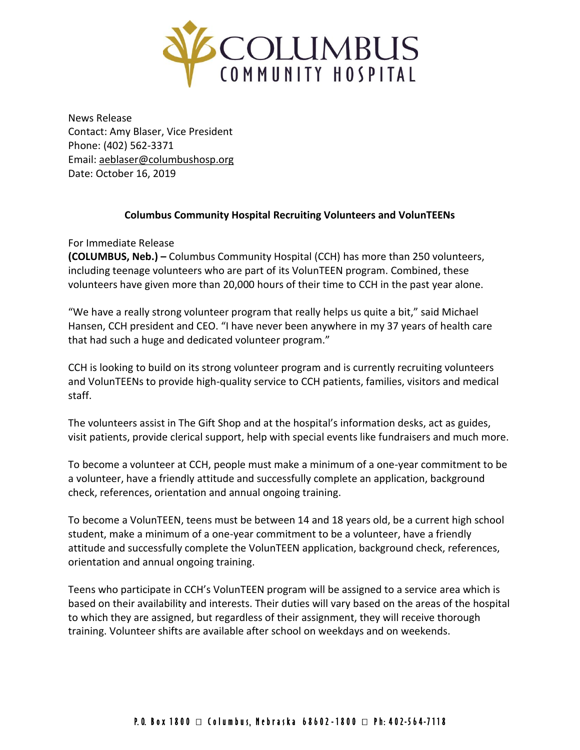

News Release Contact: Amy Blaser, Vice President Phone: (402) 562-3371 Email: [aeblaser@columbushosp.org](mailto:aeblaser@columbushosp.org) Date: October 16, 2019

## **Columbus Community Hospital Recruiting Volunteers and VolunTEENs**

For Immediate Release

**(COLUMBUS, Neb.) –** Columbus Community Hospital (CCH) has more than 250 volunteers, including teenage volunteers who are part of its VolunTEEN program. Combined, these volunteers have given more than 20,000 hours of their time to CCH in the past year alone.

"We have a really strong volunteer program that really helps us quite a bit," said Michael Hansen, CCH president and CEO. "I have never been anywhere in my 37 years of health care that had such a huge and dedicated volunteer program."

CCH is looking to build on its strong volunteer program and is currently recruiting volunteers and VolunTEENs to provide high-quality service to CCH patients, families, visitors and medical staff.

The volunteers assist in The Gift Shop and at the hospital's information desks, act as guides, visit patients, provide clerical support, help with special events like fundraisers and much more.

To become a volunteer at CCH, people must make a minimum of a one-year commitment to be a volunteer, have a friendly attitude and successfully complete an application, background check, references, orientation and annual ongoing training.

To become a VolunTEEN, teens must be between 14 and 18 years old, be a current high school student, make a minimum of a one-year commitment to be a volunteer, have a friendly attitude and successfully complete the VolunTEEN application, background check, references, orientation and annual ongoing training.

Teens who participate in CCH's VolunTEEN program will be assigned to a service area which is based on their availability and interests. Their duties will vary based on the areas of the hospital to which they are assigned, but regardless of their assignment, they will receive thorough training. Volunteer shifts are available after school on weekdays and on weekends.